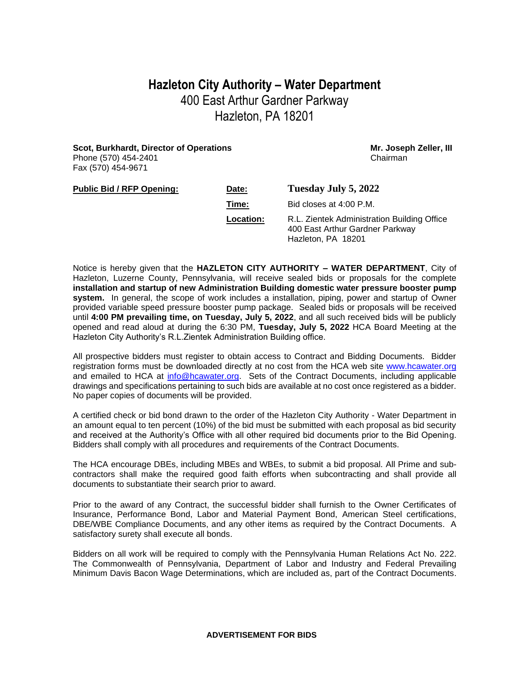## **Hazleton City Authority – Water Department** 400 East Arthur Gardner Parkway Hazleton, PA 18201

**Scot, Burkhardt, Director of Operations Mr. Joseph Zeller, III Mr. Joseph Zeller, III** Phone (570) 454-2401 **Chairman** Fax (570) 454-9671

| <b>Public Bid / RFP Opening:</b> | Date:     | Tuesday July 5, 2022                                                                                 |
|----------------------------------|-----------|------------------------------------------------------------------------------------------------------|
|                                  | Time:     | Bid closes at 4:00 P.M.                                                                              |
|                                  | Location: | R.L. Zientek Administration Building Office<br>400 East Arthur Gardner Parkway<br>Hazleton, PA 18201 |

Notice is hereby given that the **HAZLETON CITY AUTHORITY – WATER DEPARTMENT**, City of Hazleton, Luzerne County, Pennsylvania, will receive sealed bids or proposals for the complete **installation and startup of new Administration Building domestic water pressure booster pump system.** In general, the scope of work includes a installation, piping, power and startup of Owner provided variable speed pressure booster pump package. Sealed bids or proposals will be received until **4:00 PM prevailing time, on Tuesday, July 5, 2022**, and all such received bids will be publicly opened and read aloud at during the 6:30 PM, **Tuesday, July 5, 2022** HCA Board Meeting at the Hazleton City Authority's R.L.Zientek Administration Building office.

All prospective bidders must register to obtain access to Contract and Bidding Documents. Bidder registration forms must be downloaded directly at no cost from the HCA web site [www.hcawater.org](http://www.hcawater.org/) and emailed to HCA at [info@hcawater.org.](mailto:info@hcawater.org) Sets of the Contract Documents, including applicable drawings and specifications pertaining to such bids are available at no cost once registered as a bidder. No paper copies of documents will be provided.

A certified check or bid bond drawn to the order of the Hazleton City Authority - Water Department in an amount equal to ten percent (10%) of the bid must be submitted with each proposal as bid security and received at the Authority's Office with all other required bid documents prior to the Bid Opening. Bidders shall comply with all procedures and requirements of the Contract Documents.

The HCA encourage DBEs, including MBEs and WBEs, to submit a bid proposal. All Prime and subcontractors shall make the required good faith efforts when subcontracting and shall provide all documents to substantiate their search prior to award.

Prior to the award of any Contract, the successful bidder shall furnish to the Owner Certificates of Insurance, Performance Bond, Labor and Material Payment Bond, American Steel certifications, DBE/WBE Compliance Documents, and any other items as required by the Contract Documents. A satisfactory surety shall execute all bonds.

Bidders on all work will be required to comply with the Pennsylvania Human Relations Act No. 222. The Commonwealth of Pennsylvania, Department of Labor and Industry and Federal Prevailing Minimum Davis Bacon Wage Determinations, which are included as, part of the Contract Documents.